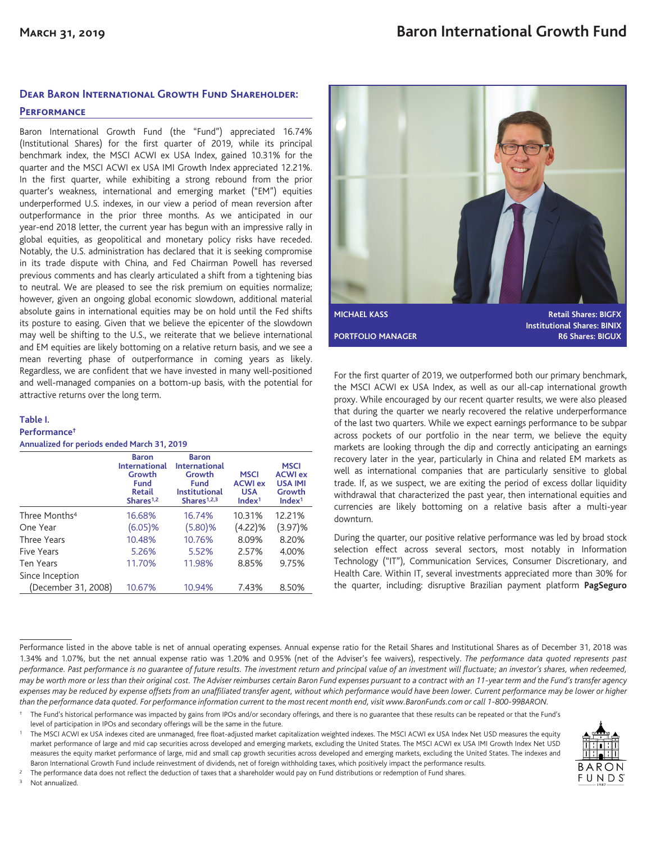# **Dear Baron International Growth Fund Shareholder:**

## **Performance**

Baron International Growth Fund (the "Fund") appreciated 16.74% (Institutional Shares) for the first quarter of 2019, while its principal benchmark index, the MSCI ACWI ex USA Index, gained 10.31% for the quarter and the MSCI ACWI ex USA IMI Growth Index appreciated 12.21%. In the first quarter, while exhibiting a strong rebound from the prior quarter's weakness, international and emerging market ("EM") equities underperformed U.S. indexes, in our view a period of mean reversion after outperformance in the prior three months. As we anticipated in our year-end 2018 letter, the current year has begun with an impressive rally in global equities, as geopolitical and monetary policy risks have receded. Notably, the U.S. administration has declared that it is seeking compromise in its trade dispute with China, and Fed Chairman Powell has reversed previous comments and has clearly articulated a shift from a tightening bias to neutral. We are pleased to see the risk premium on equities normalize; however, given an ongoing global economic slowdown, additional material absolute gains in international equities may be on hold until the Fed shifts its posture to easing. Given that we believe the epicenter of the slowdown may well be shifting to the U.S., we reiterate that we believe international and EM equities are likely bottoming on a relative return basis, and we see a mean reverting phase of outperformance in coming years as likely. Regardless, we are confident that we have invested in many well-positioned and well-managed companies on a bottom-up basis, with the potential for attractive returns over the long term.

#### **Table I. Performance†**

**Annualized for periods ended March 31, 2019**

|                           | <b>Baron</b><br><b>International</b><br>Growth<br>Fund<br><b>Retail</b><br>Shares <sup>1,2</sup> | <b>Baron</b><br><b>International</b><br>Growth<br><b>Fund</b><br><b>Institutional</b><br>Shares $1,2,3$ | <b>MSCI</b><br><b>ACWI ex</b><br><b>USA</b><br>Index <sup>1</sup> | <b>MSCI</b><br><b>ACWI</b> ex<br><b>USA IMI</b><br>Growth<br>Index <sup>1</sup> |
|---------------------------|--------------------------------------------------------------------------------------------------|---------------------------------------------------------------------------------------------------------|-------------------------------------------------------------------|---------------------------------------------------------------------------------|
| Three Months <sup>4</sup> | 16.68%                                                                                           | 16.74%                                                                                                  | 10.31%                                                            | 12.21%                                                                          |
| One Year                  | $(6.05)\%$                                                                                       | (5.80)%                                                                                                 | (4.22)%                                                           | (3.97)%                                                                         |
| Three Years               | 10.48%                                                                                           | 10.76%                                                                                                  | 8.09%                                                             | 8.20%                                                                           |
| Five Years                | 5.26%                                                                                            | 5.52%                                                                                                   | 2.57%                                                             | 4.00%                                                                           |
| Ten Years                 | 11.70%                                                                                           | 11.98%                                                                                                  | 8.85%                                                             | 9.75%                                                                           |
| Since Inception           |                                                                                                  |                                                                                                         |                                                                   |                                                                                 |
| (December 31, 2008)       | 10.67%                                                                                           | 10.94%                                                                                                  | 7.43%                                                             | 8.50%                                                                           |



For the first quarter of 2019, we outperformed both our primary benchmark, the MSCI ACWI ex USA Index, as well as our all-cap international growth proxy. While encouraged by our recent quarter results, we were also pleased that during the quarter we nearly recovered the relative underperformance of the last two quarters. While we expect earnings performance to be subpar across pockets of our portfolio in the near term, we believe the equity markets are looking through the dip and correctly anticipating an earnings recovery later in the year, particularly in China and related EM markets as well as international companies that are particularly sensitive to global trade. If, as we suspect, we are exiting the period of excess dollar liquidity withdrawal that characterized the past year, then international equities and currencies are likely bottoming on a relative basis after a multi-year downturn.

During the quarter, our positive relative performance was led by broad stock selection effect across several sectors, most notably in Information Technology ("IT"), Communication Services, Consumer Discretionary, and Health Care. Within IT, several investments appreciated more than 30% for the quarter, including: disruptive Brazilian payment platform **PagSeguro**

Performance listed in the above table is net of annual operating expenses. Annual expense ratio for the Retail Shares and Institutional Shares as of December 31, 2018 was 1.34% and 1.07%, but the net annual expense ratio was 1.20% and 0.95% (net of the Adviser's fee waivers), respectively. *The performance data quoted represents past performance. Past performance is no guarantee of future results. The investment return and principal value of an investment will fluctuate; an investor's shares, when redeemed, may be worth more or less than their original cost. The Adviser reimburses certain Baron Fund expenses pursuant to a contract with an 11-year term and the Fund's transfer agency expenses may be reduced by expense offsets from an unaffiliated transfer agent, without which performance would have been lower. Current performance may be lower or higher than the performance data quoted. For performance information current to the most recent month end, visit www.BaronFunds.com or call 1-800-99BARON.*

<sup>1</sup> The MSCI ACWI ex USA indexes cited are unmanaged, free float-adjusted market capitalization weighted indexes. The MSCI ACWI ex USA Index Net USD measures the equity market performance of large and mid cap securities across developed and emerging markets, excluding the United States. The MSCI ACWI ex USA IMI Growth Index Net USD measures the equity market performance of large, mid and small cap growth securities across developed and emerging markets, excluding the United States. The indexes and Baron International Growth Fund include reinvestment of dividends, net of foreign withholding taxes, which positively impact the performance results.



<sup>3</sup> Not annualized.



<sup>†</sup> The Fund's historical performance was impacted by gains from IPOs and/or secondary offerings, and there is no guarantee that these results can be repeated or that the Fund's level of participation in IPOs and secondary offerings will be the same in the future.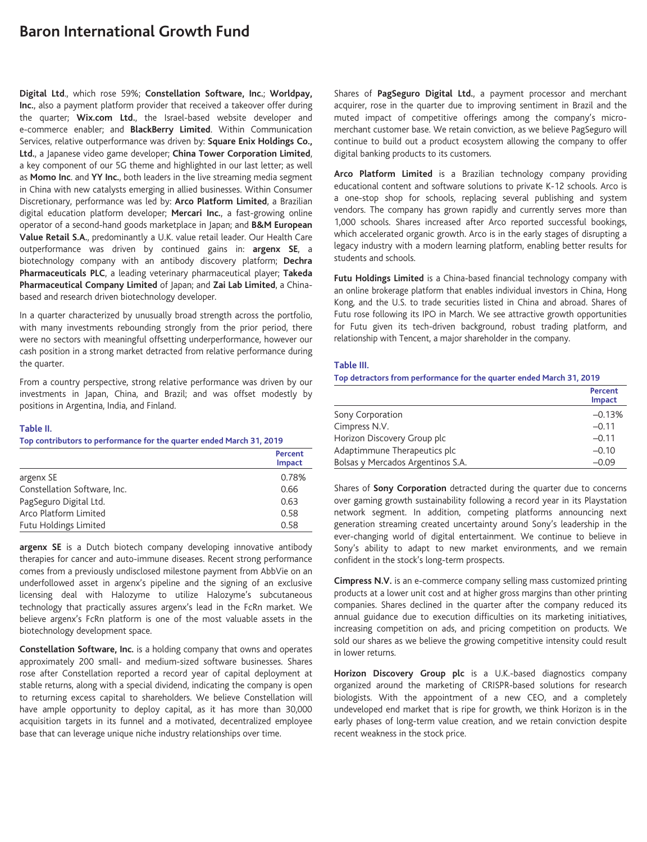# **Baron International Growth Fund**

**Digital Ltd**., which rose 59%; **Constellation Software, Inc.**; **Worldpay, Inc.**, also a payment platform provider that received a takeover offer during the quarter; **Wix.com Ltd.**, the Israel-based website developer and e-commerce enabler; and **BlackBerry Limited**. Within Communication Services, relative outperformance was driven by: **Square Enix Holdings Co., Ltd.**, a Japanese video game developer; **China Tower Corporation Limited**, a key component of our 5G theme and highlighted in our last letter; as well as **Momo Inc**. and **YY Inc.**, both leaders in the live streaming media segment in China with new catalysts emerging in allied businesses. Within Consumer Discretionary, performance was led by: **Arco Platform Limited**, a Brazilian digital education platform developer; **Mercari Inc.**, a fast-growing online operator of a second-hand goods marketplace in Japan; and **B&M European Value Retail S.A.**, predominantly a U.K. value retail leader. Our Health Care outperformance was driven by continued gains in: **argenx SE**, a biotechnology company with an antibody discovery platform; **Dechra Pharmaceuticals PLC**, a leading veterinary pharmaceutical player; **Takeda Pharmaceutical Company Limited** of Japan; and **Zai Lab Limited**, a Chinabased and research driven biotechnology developer.

In a quarter characterized by unusually broad strength across the portfolio, with many investments rebounding strongly from the prior period, there were no sectors with meaningful offsetting underperformance, however our cash position in a strong market detracted from relative performance during the quarter.

From a country perspective, strong relative performance was driven by our investments in Japan, China, and Brazil; and was offset modestly by positions in Argentina, India, and Finland.

### **Table II.**

#### **Top contributors to performance for the quarter ended March 31, 2019**

|                              | Percent<br><b>Impact</b> |
|------------------------------|--------------------------|
| argenx SE                    | 0.78%                    |
| Constellation Software, Inc. | 0.66                     |
| PagSeguro Digital Ltd.       | 0.63                     |
| Arco Platform Limited        | 0.58                     |
| Futu Holdings Limited        | 0.58                     |

**argenx SE** is a Dutch biotech company developing innovative antibody therapies for cancer and auto-immune diseases. Recent strong performance comes from a previously undisclosed milestone payment from AbbVie on an underfollowed asset in argenx's pipeline and the signing of an exclusive licensing deal with Halozyme to utilize Halozyme's subcutaneous technology that practically assures argenx's lead in the FcRn market. We believe argenx's FcRn platform is one of the most valuable assets in the biotechnology development space.

**Constellation Software, Inc.** is a holding company that owns and operates approximately 200 small- and medium-sized software businesses. Shares rose after Constellation reported a record year of capital deployment at stable returns, along with a special dividend, indicating the company is open to returning excess capital to shareholders. We believe Constellation will have ample opportunity to deploy capital, as it has more than 30,000 acquisition targets in its funnel and a motivated, decentralized employee base that can leverage unique niche industry relationships over time.

Shares of **PagSeguro Digital Ltd.**, a payment processor and merchant acquirer, rose in the quarter due to improving sentiment in Brazil and the muted impact of competitive offerings among the company's micromerchant customer base. We retain conviction, as we believe PagSeguro will continue to build out a product ecosystem allowing the company to offer digital banking products to its customers.

**Arco Platform Limited** is a Brazilian technology company providing educational content and software solutions to private K-12 schools. Arco is a one-stop shop for schools, replacing several publishing and system vendors. The company has grown rapidly and currently serves more than 1,000 schools. Shares increased after Arco reported successful bookings, which accelerated organic growth. Arco is in the early stages of disrupting a legacy industry with a modern learning platform, enabling better results for students and schools.

**Futu Holdings Limited** is a China-based financial technology company with an online brokerage platform that enables individual investors in China, Hong Kong, and the U.S. to trade securities listed in China and abroad. Shares of Futu rose following its IPO in March. We see attractive growth opportunities for Futu given its tech-driven background, robust trading platform, and relationship with Tencent, a major shareholder in the company.

### **Table III.**

**Top detractors from performance for the quarter ended March 31, 2019**

|                                   | Percent<br>Impact |
|-----------------------------------|-------------------|
| Sony Corporation                  | $-0.13%$          |
| Cimpress N.V.                     | $-0.11$           |
| Horizon Discovery Group plc       | $-0.11$           |
| Adaptimmune Therapeutics plc      | $-0.10$           |
| Bolsas y Mercados Argentinos S.A. | $-0.09$           |

Shares of **Sony Corporation** detracted during the quarter due to concerns over gaming growth sustainability following a record year in its Playstation network segment. In addition, competing platforms announcing next generation streaming created uncertainty around Sony's leadership in the ever-changing world of digital entertainment. We continue to believe in Sony's ability to adapt to new market environments, and we remain confident in the stock's long-term prospects.

**Cimpress N.V.** is an e-commerce company selling mass customized printing products at a lower unit cost and at higher gross margins than other printing companies. Shares declined in the quarter after the company reduced its annual guidance due to execution difficulties on its marketing initiatives, increasing competition on ads, and pricing competition on products. We sold our shares as we believe the growing competitive intensity could result in lower returns.

**Horizon Discovery Group plc** is a U.K.-based diagnostics company organized around the marketing of CRISPR-based solutions for research biologists. With the appointment of a new CEO, and a completely undeveloped end market that is ripe for growth, we think Horizon is in the early phases of long-term value creation, and we retain conviction despite recent weakness in the stock price.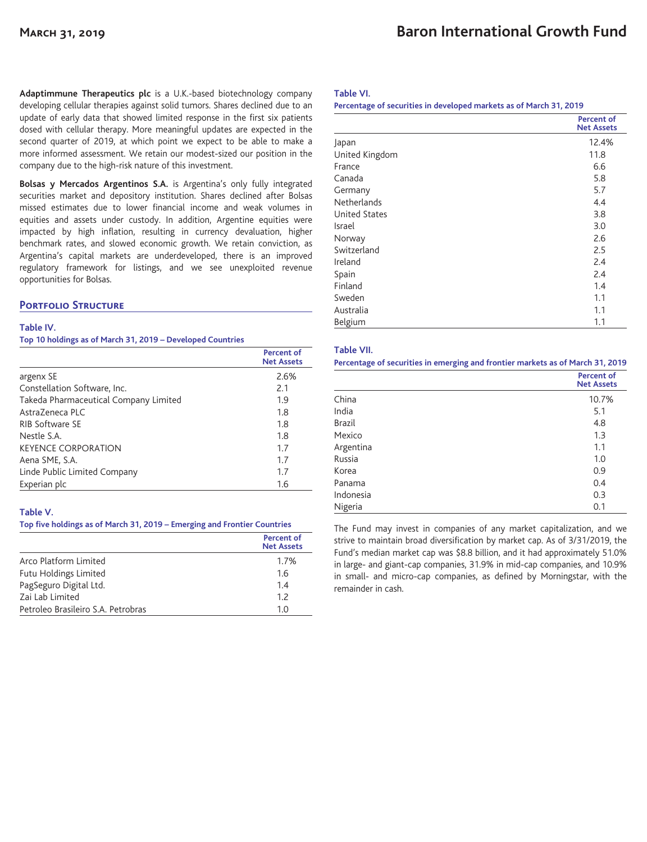**Adaptimmune Therapeutics plc** is a U.K.-based biotechnology company developing cellular therapies against solid tumors. Shares declined due to an update of early data that showed limited response in the first six patients dosed with cellular therapy. More meaningful updates are expected in the second quarter of 2019, at which point we expect to be able to make a more informed assessment. We retain our modest-sized our position in the company due to the high-risk nature of this investment.

**Bolsas y Mercados Argentinos S.A.** is Argentina's only fully integrated securities market and depository institution. Shares declined after Bolsas missed estimates due to lower financial income and weak volumes in equities and assets under custody. In addition, Argentine equities were impacted by high inflation, resulting in currency devaluation, higher benchmark rates, and slowed economic growth. We retain conviction, as Argentina's capital markets are underdeveloped, there is an improved regulatory framework for listings, and we see unexploited revenue opportunities for Bolsas.

## **Portfolio Structure**

## **Table IV.**

**Top 10 holdings as of March 31, 2019 – Developed Countries**

|                                       | <b>Percent of</b><br><b>Net Assets</b> |
|---------------------------------------|----------------------------------------|
| argenx SE                             | 2.6%                                   |
| Constellation Software, Inc.          | 2.1                                    |
| Takeda Pharmaceutical Company Limited | 1.9                                    |
| AstraZeneca PLC                       | 1.8                                    |
| RIB Software SE                       | 1.8                                    |
| Nestle S.A.                           | 1.8                                    |
| <b>KEYENCE CORPORATION</b>            | 1.7                                    |
| Aena SME, S.A.                        | 1.7                                    |
| Linde Public Limited Company          | 1.7                                    |
| Experian plc                          | 1.6                                    |

## **Table V.**

## **Top five holdings as of March 31, 2019 – Emerging and Frontier Countries**

|                                    | <b>Percent of</b><br><b>Net Assets</b> |
|------------------------------------|----------------------------------------|
| Arco Platform Limited              | 1.7%                                   |
| Futu Holdings Limited              | 1.6                                    |
| PagSeguro Digital Ltd.             | 1.4                                    |
| Zai Lab Limited                    | 12                                     |
| Petroleo Brasileiro S.A. Petrobras | 1 O                                    |

### **Table VI.**

#### **Percentage of securities in developed markets as of March 31, 2019**

|                      | <b>Percent of</b><br><b>Net Assets</b> |
|----------------------|----------------------------------------|
| Japan                | 12.4%                                  |
| United Kingdom       | 11.8                                   |
| France               | 6.6                                    |
| Canada               | 5.8                                    |
| Germany              | 5.7                                    |
| Netherlands          | 4.4                                    |
| <b>United States</b> | 3.8                                    |
| Israel               | 3.0                                    |
| Norway               | 2.6                                    |
| Switzerland          | 2.5                                    |
| Ireland              | 2.4                                    |
| Spain                | 2.4                                    |
| Finland              | 1.4                                    |
| Sweden               | 1.1                                    |
| Australia            | 1.1                                    |
| Belgium              | 1.1                                    |

#### **Table VII.**

**Percentage of securities in emerging and frontier markets as of March 31, 2019**

|               | <b>Percent of</b><br><b>Net Assets</b> |
|---------------|----------------------------------------|
| China         | 10.7%                                  |
| India         | 5.1                                    |
| <b>Brazil</b> | 4.8                                    |
| Mexico        | 1.3                                    |
| Argentina     | 1.1                                    |
| Russia        | 1.0                                    |
| Korea         | 0.9                                    |
| Panama        | 0.4                                    |
| Indonesia     | 0.3                                    |
| Nigeria       | 0.1                                    |

The Fund may invest in companies of any market capitalization, and we strive to maintain broad diversification by market cap. As of 3/31/2019, the Fund's median market cap was \$8.8 billion, and it had approximately 51.0% in large- and giant-cap companies, 31.9% in mid-cap companies, and 10.9% in small- and micro-cap companies, as defined by Morningstar, with the remainder in cash.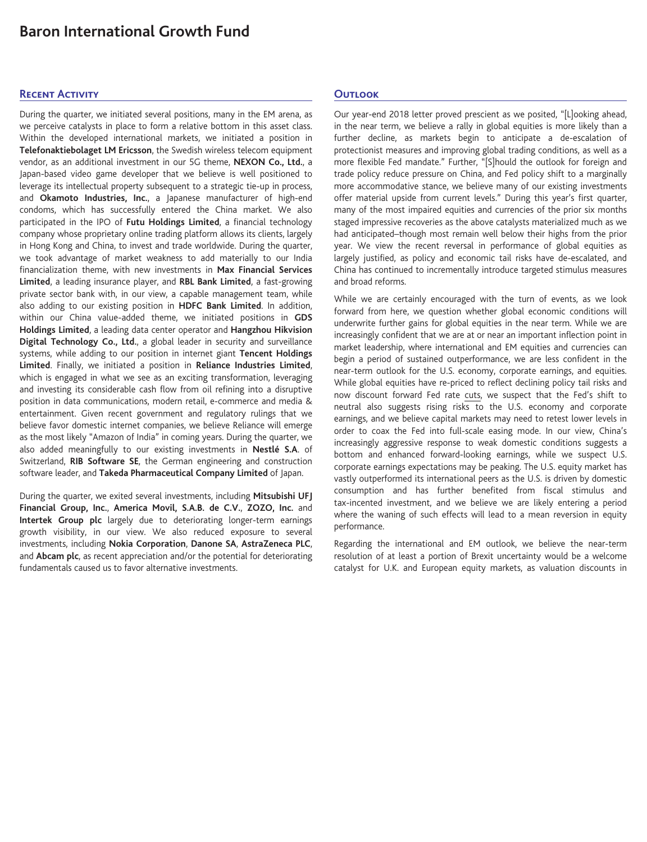# **Baron International Growth Fund**

## **Recent Activity**

During the quarter, we initiated several positions, many in the EM arena, as we perceive catalysts in place to form a relative bottom in this asset class. Within the developed international markets, we initiated a position in **Telefonaktiebolaget LM Ericsson**, the Swedish wireless telecom equipment vendor, as an additional investment in our 5G theme, **NEXON Co., Ltd.**, a Japan-based video game developer that we believe is well positioned to leverage its intellectual property subsequent to a strategic tie-up in process, and **Okamoto Industries, Inc.**, a Japanese manufacturer of high-end condoms, which has successfully entered the China market. We also participated in the IPO of **Futu Holdings Limited**, a financial technology company whose proprietary online trading platform allows its clients, largely in Hong Kong and China, to invest and trade worldwide. During the quarter, we took advantage of market weakness to add materially to our India financialization theme, with new investments in **Max Financial Services Limited**, a leading insurance player, and **RBL Bank Limited**, a fast-growing private sector bank with, in our view, a capable management team, while also adding to our existing position in **HDFC Bank Limited**. In addition, within our China value-added theme, we initiated positions in **GDS Holdings Limited**, a leading data center operator and **Hangzhou Hikvision Digital Technology Co., Ltd.**, a global leader in security and surveillance systems, while adding to our position in internet giant **Tencent Holdings Limited**. Finally, we initiated a position in **Reliance Industries Limited**, which is engaged in what we see as an exciting transformation, leveraging and investing its considerable cash flow from oil refining into a disruptive position in data communications, modern retail, e-commerce and media & entertainment. Given recent government and regulatory rulings that we believe favor domestic internet companies, we believe Reliance will emerge as the most likely "Amazon of India" in coming years. During the quarter, we also added meaningfully to our existing investments in **Nestlé S.A**. of Switzerland, **RIB Software SE**, the German engineering and construction software leader, and **Takeda Pharmaceutical Company Limited** of Japan.

During the quarter, we exited several investments, including **Mitsubishi UFJ Financial Group, Inc.**, **America Movil, S.A.B. de C.V.**, **ZOZO, Inc.** and **Intertek Group plc** largely due to deteriorating longer-term earnings growth visibility, in our view. We also reduced exposure to several investments, including **Nokia Corporation**, **Danone SA**, **AstraZeneca PLC**, and **Abcam plc**, as recent appreciation and/or the potential for deteriorating fundamentals caused us to favor alternative investments.

## **Outlook**

Our year-end 2018 letter proved prescient as we posited, "[L]ooking ahead, in the near term, we believe a rally in global equities is more likely than a further decline, as markets begin to anticipate a de-escalation of protectionist measures and improving global trading conditions, as well as a more flexible Fed mandate." Further, "[S]hould the outlook for foreign and trade policy reduce pressure on China, and Fed policy shift to a marginally more accommodative stance, we believe many of our existing investments offer material upside from current levels." During this year's first quarter, many of the most impaired equities and currencies of the prior six months staged impressive recoveries as the above catalysts materialized much as we had anticipated–though most remain well below their highs from the prior year. We view the recent reversal in performance of global equities as largely justified, as policy and economic tail risks have de-escalated, and China has continued to incrementally introduce targeted stimulus measures and broad reforms.

While we are certainly encouraged with the turn of events, as we look forward from here, we question whether global economic conditions will underwrite further gains for global equities in the near term. While we are increasingly confident that we are at or near an important inflection point in market leadership, where international and EM equities and currencies can begin a period of sustained outperformance, we are less confident in the near-term outlook for the U.S. economy, corporate earnings, and equities. While global equities have re-priced to reflect declining policy tail risks and now discount forward Fed rate cuts, we suspect that the Fed's shift to neutral also suggests rising risks to the U.S. economy and corporate earnings, and we believe capital markets may need to retest lower levels in order to coax the Fed into full-scale easing mode. In our view, China's increasingly aggressive response to weak domestic conditions suggests a bottom and enhanced forward-looking earnings, while we suspect U.S. corporate earnings expectations may be peaking. The U.S. equity market has vastly outperformed its international peers as the U.S. is driven by domestic consumption and has further benefited from fiscal stimulus and tax-incented investment, and we believe we are likely entering a period where the waning of such effects will lead to a mean reversion in equity performance.

Regarding the international and EM outlook, we believe the near-term resolution of at least a portion of Brexit uncertainty would be a welcome catalyst for U.K. and European equity markets, as valuation discounts in